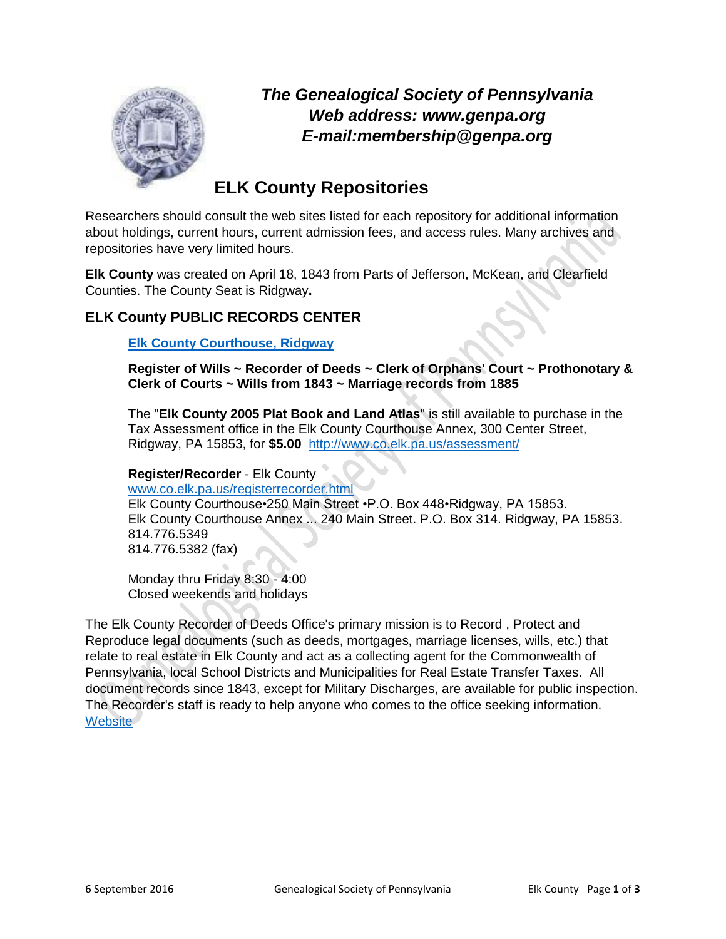

*The Genealogical Society of Pennsylvania Web address: www.genpa.org E-mail:membership@genpa.org*

# **ELK County Repositories**

Researchers should consult the web sites listed for each repository for additional information about holdings, current hours, current admission fees, and access rules. Many archives and repositories have very limited hours.

**Elk County** was created on April 18, 1843 from Parts of Jefferson, McKean, and Clearfield Counties. The County Seat is Ridgway**.**

# **ELK County PUBLIC RECORDS CENTER**

## **[Elk County Courthouse, Ridgway](http://www.co.elk.pa.us/)**

**Register of Wills ~ Recorder of Deeds ~ Clerk of Orphans' Court ~ Prothonotary & Clerk of Courts ~ Wills from 1843 ~ Marriage records from 1885**

The "**Elk County 2005 Plat Book and Land Atlas**" is still available to purchase in the Tax Assessment office in the Elk County Courthouse Annex, 300 Center Street, Ridgway, PA 15853, for **\$5.00** <http://www.co.elk.pa.us/assessment/>

**Register/Recorder** - Elk County [www.co.elk.pa.us/registerrecorder.html](http://www.co.elk.pa.us/registerrecorder.html) Elk County Courthouse•250 Main Street •P.O. Box 448•Ridgway, PA 15853. Elk County Courthouse Annex ... 240 Main Street. P.O. Box 314. Ridgway, PA 15853. 814.776.5349 814.776.5382 (fax)

Monday thru Friday 8:30 - 4:00 Closed weekends and holidays

The Elk County Recorder of Deeds Office's primary mission is to Record , Protect and Reproduce legal documents (such as deeds, mortgages, marriage licenses, wills, etc.) that relate to real estate in Elk County and act as a collecting agent for the Commonwealth of Pennsylvania, local School Districts and Municipalities for Real Estate Transfer Taxes. All document records since 1843, except for Military Discharges, are available for public inspection. The Recorder's staff is ready to help anyone who comes to the office seeking information. **[Website](http://www.co.elk.pa.us/registerrecorder.html)**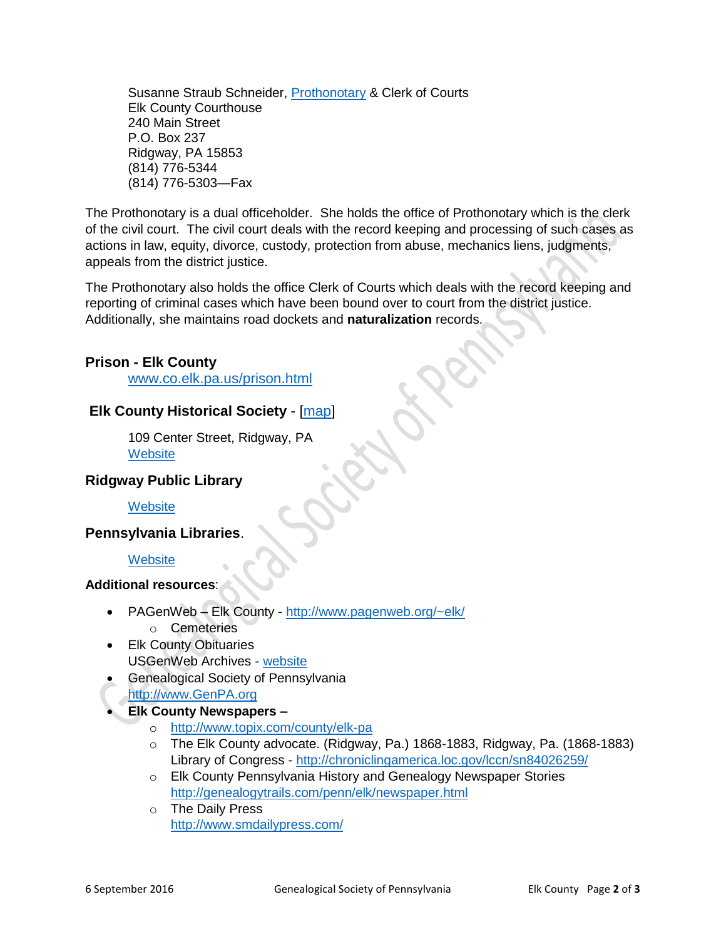Susanne Straub Schneider, [Prothonotary](http://www.co.elk.pa.us/prothonotary.html) & Clerk of Courts Elk County Courthouse 240 Main Street P.O. Box 237 Ridgway, PA 15853 (814) 776-5344 (814) 776-5303—Fax

The Prothonotary is a dual officeholder. She holds the office of Prothonotary which is the clerk of the civil court. The civil court deals with the record keeping and processing of such cases as actions in law, equity, divorce, custody, protection from abuse, mechanics liens, judgments, appeals from the district justice.

The Prothonotary also holds the office Clerk of Courts which deals with the record keeping and reporting of criminal cases which have been bound over to court from the district justice. Additionally, she maintains road dockets and **naturalization** records.

## **Prison - Elk County**

[www.co.elk.pa.us/prison.html](http://www.co.elk.pa.us/prison.html)

## **Elk County Historical Society** - [\[map\]](https://www.mapquest.com/us/pa/ridgway/15853-1701/109-center-st-41.419846,-78.732004)

109 Center Street, Ridgway, PA **[Website](http://www.elkcountyhistoricalsociety.org/)** 

## **Ridgway Public Library**

**[Website](http://www.ridgwaylibrary.org/)** 

## **Pennsylvania Libraries**.

## **[Website](https://accesspa.powerlibrary.org/MVC/)**

## **Additional resources**:

- PAGenWeb Elk County <http://www.pagenweb.org/~elk/> o Cemeteries
	-
- Elk County Obituaries USGenWeb Archives - [website](http://www.usgwarchives.net/pa/elk/obits.htm)
- Genealogical Society of Pennsylvania
- [http://www.GenPA.org](http://www.genpa.org/)
- **Elk County Newspapers –**
	- o <http://www.topix.com/county/elk-pa>
	- o The Elk County advocate. (Ridgway, Pa.) 1868-1883, Ridgway, Pa. (1868-1883) Library of Congress - <http://chroniclingamerica.loc.gov/lccn/sn84026259/>
	- o Elk County Pennsylvania History and Genealogy Newspaper Stories <http://genealogytrails.com/penn/elk/newspaper.html>
	- o The Daily Press <http://www.smdailypress.com/>